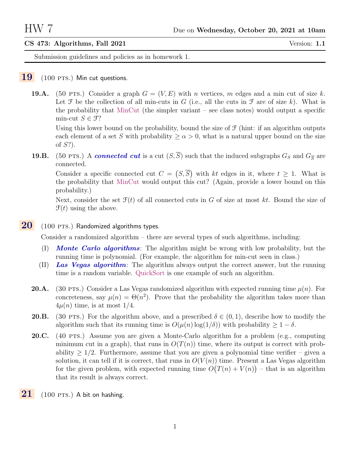## CS 473: Algorithms, Fall 2021 Version: 1.1

Submission guidelines and policies as in homework 1.

## $19$  (100 PTS.) Min cut questions.

**19.A.** (50 PTS.) Consider a graph  $G = (V, E)$  with n vertices, m edges and a min cut of size k. Let  $\mathcal F$  be the collection of all min-cuts in G (i.e., all the cuts in  $\mathcal F$  are of size k). What is the probability that MinCut (the simpler variant – see class notes) would output a specific min-cut  $S \in \mathfrak{F}$ ?

Using this lower bound on the probability, bound the size of  $\mathcal F$  (hint: if an algorithm outputs each element of a set S with probability  $\geq \alpha > 0$ , what is a natural upper bound on the size of S?).

**19.B.** (50 PTS.) A connected cut is a cut  $(S,\overline{S})$  such that the induced subgraphs  $G_S$  and  $G_{\overline{S}}$  are connected.

Consider a specific connected cut  $C = (S, \overline{S})$  with kt edges in it, where  $t \geq 1$ . What is the probability that MinCut would output this cut? (Again, provide a lower bound on this probability.)

Next, consider the set  $\mathcal{F}(t)$  of all connected cuts in G of size at most kt. Bound the size of  $\mathcal{F}(t)$  using the above.

## $20$  (100 PTS.) Randomized algorithms types.

Consider a randomized algorithm – there are several types of such algorithms, including:

- (I) Monte Carlo algorithms: The algorithm might be wrong with low probability, but the running time is polynomial. (For example, the algorithm for min-cut seen in class.)
- (II) Las Vegas algorithm: The algorithm always output the correct answer, but the running time is a random variable. QuickSort is one example of such an algorithm.
- **20.A.** (30 pts.) Consider a Las Vegas randomized algorithm with expected running time  $\mu(n)$ . For concreteness, say  $\mu(n) = \Theta(n^2)$ . Prove that the probability the algorithm takes more than  $4\mu(n)$  time, is at most  $1/4$ .
- **20.B.** (30 PTS.) For the algorithm above, and a prescribed  $\delta \in (0,1)$ , describe how to modify the algorithm such that its running time is  $O(\mu(n) \log(1/\delta))$  with probability  $\geq 1 - \delta$ .
- 20.C. (40 PTS.) Assume you are given a Monte-Carlo algorithm for a problem (e.g., computing minimum cut in a graph), that runs in  $O(T(n))$  time, where its output is correct with probability  $\geq 1/2$ . Furthermore, assume that you are given a polynomial time verifier – given a solution, it can tell if it is correct, that runs in  $O(V(n))$  time. Present a Las Vegas algorithm for the given problem, with expected running time  $O(T(n) + V(n))$  – that is an algorithm that its result is always correct.
- $21$  (100 PTS.) A bit on hashing.